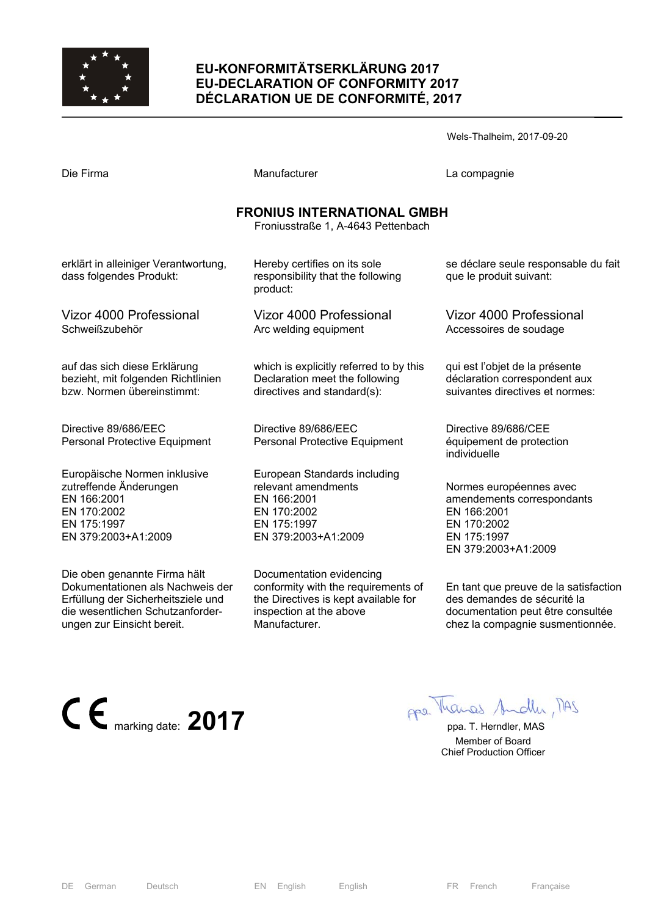

# **EU-KONFORMITÄTSERKLÄRUNG 2017 EU-DECLARATION OF CONFORMITY 2017 DÉCLARATION UE DE CONFORMITÉ, 2017**

|                                                                                                                            |                                                                                                                         | Wels-Thalheim, 2017-09-20                                                                                                 |
|----------------------------------------------------------------------------------------------------------------------------|-------------------------------------------------------------------------------------------------------------------------|---------------------------------------------------------------------------------------------------------------------------|
| Die Firma                                                                                                                  | Manufacturer                                                                                                            | La compagnie                                                                                                              |
| <b>FRONIUS INTERNATIONAL GMBH</b><br>Froniusstraße 1, A-4643 Pettenbach                                                    |                                                                                                                         |                                                                                                                           |
| erklärt in alleiniger Verantwortung,<br>dass folgendes Produkt:                                                            | Hereby certifies on its sole<br>responsibility that the following<br>product:                                           | se déclare seule responsable du fait<br>que le produit suivant:                                                           |
| Vizor 4000 Professional<br>Schweißzubehör                                                                                  | Vizor 4000 Professional<br>Arc welding equipment                                                                        | Vizor 4000 Professional<br>Accessoires de soudage                                                                         |
| auf das sich diese Erklärung<br>bezieht, mit folgenden Richtlinien<br>bzw. Normen übereinstimmt:                           | which is explicitly referred to by this<br>Declaration meet the following<br>directives and standard(s):                | qui est l'objet de la présente<br>déclaration correspondent aux<br>suivantes directives et normes:                        |
| Directive 89/686/EEC<br><b>Personal Protective Equipment</b>                                                               | Directive 89/686/EEC<br>Personal Protective Equipment                                                                   | Directive 89/686/CEE<br>équipement de protection<br>individuelle                                                          |
| Europäische Normen inklusive<br>zutreffende Änderungen<br>EN 166:2001<br>EN 170:2002<br>EN 175:1997<br>EN 379:2003+A1:2009 | European Standards including<br>relevant amendments<br>EN 166:2001<br>EN 170:2002<br>EN 175:1997<br>EN 379:2003+A1:2009 | Normes européennes avec<br>amendements correspondants<br>EN 166:2001<br>EN 170:2002<br>EN 175:1997<br>EN 379:2003+A1:2009 |
| Die oben genannte Firma hält<br>Dokumentationen als Nachweis der<br>Erfüllung der Sicherheitsziele und                     | Documentation evidencing<br>conformity with the requirements of<br>the Directives is kept available for                 | En tant que preuve de la satisfaction<br>des demandes de sécurité la                                                      |

inspection at the above

Manufacturer.

des demandes de sécurité la documentation peut être consultée chez la compagnie susmentionnée.



die wesentlichen Schutzanforder-

ungen zur Einsicht bereit.

 Member of Board Chief Production Officer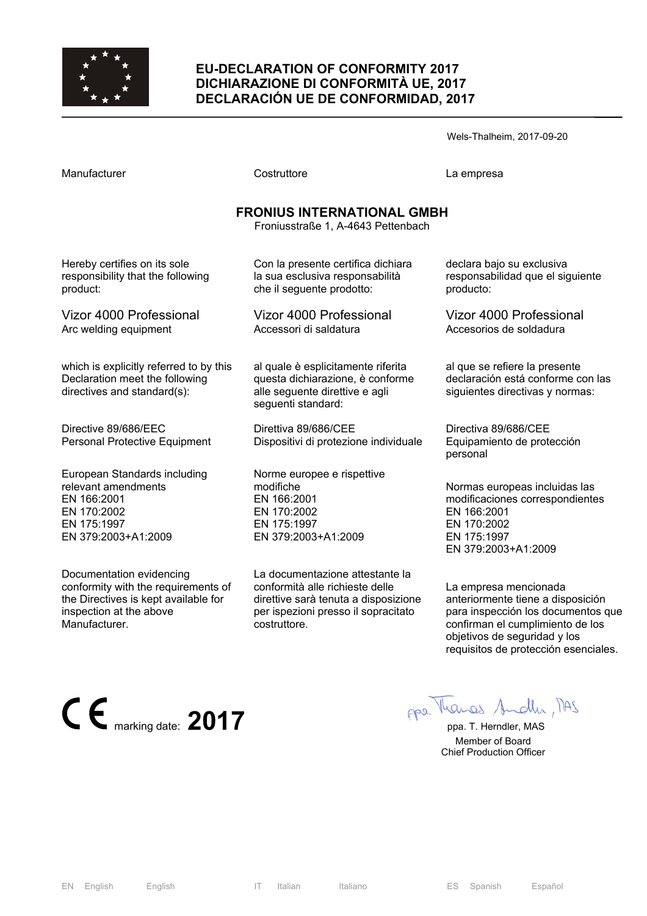

### **EU-DECLARATION OF CONFORMITY 2017 DICHIARAZIONE DI CONFORMITÀ UE, 2017 DECLARACIÓN UE DE CONFORMIDAD, 2017**

Wels-Thalheim, 2017-09-20

| Manufacturer                                                                                                            | Costruttore                                                                                                                    | La empresa                                                                                                                           |  |
|-------------------------------------------------------------------------------------------------------------------------|--------------------------------------------------------------------------------------------------------------------------------|--------------------------------------------------------------------------------------------------------------------------------------|--|
| <b>FRONIUS INTERNATIONAL GMBH</b><br>Froniusstraße 1, A-4643 Pettenbach                                                 |                                                                                                                                |                                                                                                                                      |  |
| Hereby certifies on its sole<br>responsibility that the following<br>product:                                           | Con la presente certifica dichiara<br>la sua esclusiva responsabilità<br>che il seguente prodotto:                             | declara bajo su exclusiva<br>responsabilidad que el siguiente<br>producto:                                                           |  |
| Vizor 4000 Professional<br>Arc welding equipment                                                                        | Vizor 4000 Professional<br>Accessori di saldatura                                                                              | Vizor 4000 Professional<br>Accesorios de soldadura                                                                                   |  |
| which is explicitly referred to by this<br>Declaration meet the following<br>directives and standard(s):                | al quale è esplicitamente riferita<br>questa dichiarazione, è conforme<br>alle seguente direttive e agli<br>seguenti standard: | al que se refiere la presente<br>declaración está conforme con las<br>siguientes directivas y normas:                                |  |
| Directive 89/686/EFC<br><b>Personal Protective Equipment</b>                                                            | Direttiva 89/686/CEE<br>Dispositivi di protezione individuale                                                                  | Directiva 89/686/CEE<br>Equipamiento de protección<br>personal                                                                       |  |
| European Standards including<br>relevant amendments<br>EN 166:2001<br>EN 170:2002<br>EN 175:1997<br>EN 379:2003+A1:2009 | Norme europee e rispettive<br>modifiche<br>EN 166:2001<br>EN 170:2002<br>EN 175:1997<br>EN 379:2003+A1:2009                    | Normas europeas incluidas las<br>modificaciones correspondientes<br>EN 166:2001<br>EN 170:2002<br>EN 175:1997<br>EN 379:2003+A1:2009 |  |

Documentation evidencing conformity with the requirements of the Directives is kept available for inspection at the above Manufacturer.

La documentazione attestante la conformità alle richieste delle direttive sarà tenuta a disposizione per ispezioni presso il sopracitato costruttore.

La empresa mencionada anteriormente tiene a disposición para inspección los documentos que confirman el cumplimiento de los objetivos de seguridad y los requisitos de protección esenciales.



 Member of Board Chief Production Officer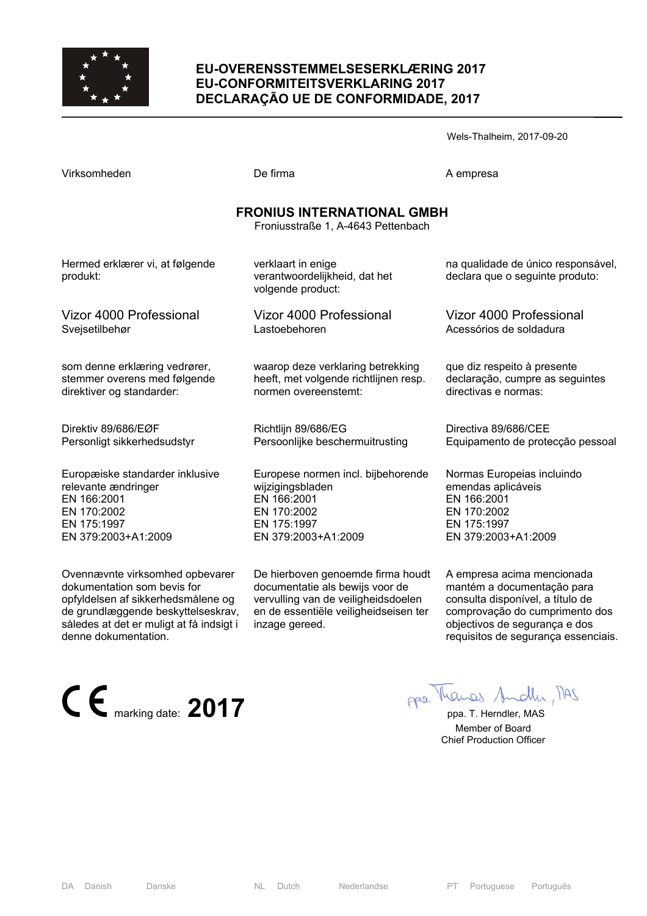

### **EU-OVERENSSTEMMELSESERKLÆRING 2017 EU-CONFORMITEITSVERKLARING 2017 DECLARAÇÃO UE DE CONFORMIDADE, 2017**

| Virksomheden                                                            | De firma                                                                 | A empresa                                                             |
|-------------------------------------------------------------------------|--------------------------------------------------------------------------|-----------------------------------------------------------------------|
| <b>FRONIUS INTERNATIONAL GMBH</b><br>Froniusstraße 1, A-4643 Pettenbach |                                                                          |                                                                       |
| Hermed erklærer vi, at følgende<br>produkt:                             | verklaart in enige<br>verantwoordelijkheid, dat het<br>volgende product: | na qualidade de único responsável,<br>declara que o seguinte produto: |
| Vizor 4000 Professional                                                 | Vizor 4000 Professional                                                  | Vizor 4000 Professional                                               |
| Svejsetilbehør                                                          | Lastoebehoren                                                            | Acessórios de soldadura                                               |
| som denne erklæring vedrører,                                           | waarop deze verklaring betrekking                                        | que diz respeito à presente                                           |
| stemmer overens med følgende                                            | heeft, met volgende richtlijnen resp.                                    | declaração, cumpre as seguintes                                       |
| direktiver og standarder:                                               | normen overeenstemt:                                                     | directivas e normas:                                                  |
| Direktiv 89/686/EØF                                                     | Richtlijn 89/686/EG                                                      | Directiva 89/686/CEE                                                  |
| Personligt sikkerhedsudstyr                                             | Persoonlijke beschermuitrusting                                          | Equipamento de protecção pessoal                                      |
| Europæiske standarder inklusive                                         | Europese normen incl. bijbehorende                                       | Normas Europeias incluindo                                            |
| relevante ændringer                                                     | wijzigingsbladen                                                         | emendas aplicáveis                                                    |
| EN 166:2001                                                             | EN 166:2001                                                              | EN 166:2001                                                           |
| EN 170:2002                                                             | EN 170:2002                                                              | EN 170:2002                                                           |
| EN 175:1997                                                             | EN 175:1997                                                              | EN 175:1997                                                           |
| EN 379:2003+A1:2009                                                     | EN 379:2003+A1:2009                                                      | EN 379:2003+A1:2009                                                   |
| Ovennævnte virksomhed opbevarer                                         | De hierboven genoemde firma houdt                                        | A empresa acima mencionada                                            |
| dokumentation som bevis for                                             | documentatie als bewijs voor de                                          | mantém a documentação para                                            |
| opfyldelsen af sikkerhedsmålene og                                      | vervulling van de veiligheidsdoelen                                      | consulta disponível, a título de                                      |
| de grundlæggende beskyttelseskrav,                                      | en de essentiële veiligheidseisen ter                                    | comprovação do cumprimento dos                                        |

objectivos de segurança e dos requisitos de segurança essenciais.



denne dokumentation.

således at det er muligt at få indsigt i inzage gereed.

 Member of Board Chief Production Officer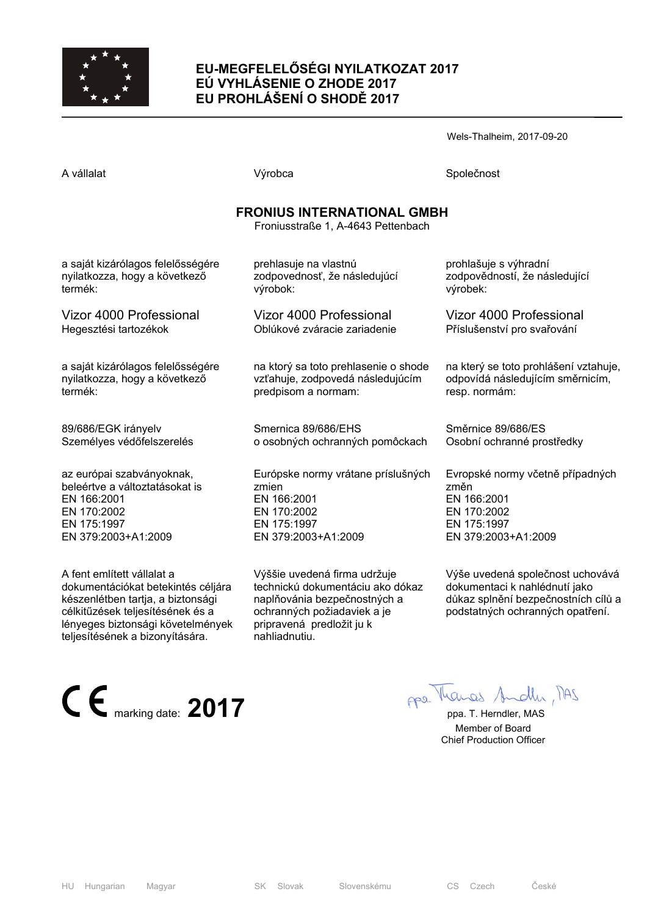

## **EU-MEGFELELŐSÉGI NYILATKOZAT 2017 EÚ VYHLÁSENIE O ZHODE 2017 EU PROHLÁŠENÍ O SHODĚ 2017**

Wels-Thalheim, 2017-09-20

| A vállalat                                                              | Výrobca                              | Společnost                            |
|-------------------------------------------------------------------------|--------------------------------------|---------------------------------------|
| <b>FRONIUS INTERNATIONAL GMBH</b><br>Froniusstraße 1, A-4643 Pettenbach |                                      |                                       |
| a saját kizárólagos felelősségére                                       | prehlasuje na vlastnú                | prohlašuje s výhradní                 |
| nyilatkozza, hogy a következő                                           | zodpovednosť, že následujúcí         | zodpovědností, že následující         |
| termék:                                                                 | výrobok:                             | výrobek:                              |
| Vizor 4000 Professional                                                 | Vizor 4000 Professional              | Vizor 4000 Professional               |
| Hegesztési tartozékok                                                   | Oblúkové zváracie zariadenie         | Příslušenství pro svařování           |
| a saját kizárólagos felelősségére                                       | na ktorý sa toto prehlasenie o shode | na který se toto prohlášení vztahuje, |
| nyilatkozza, hogy a következő                                           | vzťahuje, zodpovedá následujúcím     | odpovídá následujícím směrnicím,      |
| termék:                                                                 | predpisom a normam:                  | resp. normám:                         |
| 89/686/EGK irányelv                                                     | Smernica 89/686/EHS                  | Směrnice 89/686/ES                    |
| Személyes védőfelszerelés                                               | o osobných ochranných pomôckach      | Osobní ochranné prostředky            |
| az európai szabványoknak,                                               | Európske normy vrátane príslušných   | Evropské normy včetně případných      |
| beleértve a változtatásokat is                                          | zmien                                | změn                                  |
| EN 166:2001                                                             | EN 166:2001                          | EN 166:2001                           |
| EN 170:2002                                                             | EN 170:2002                          | EN 170:2002                           |
| EN 175:1997                                                             | EN 175:1997                          | EN 175:1997                           |
| EN 379:2003+A1:2009                                                     | EN 379:2003+A1:2009                  | EN 379:2003+A1:2009                   |

A fent említett vállalat a dokumentációkat betekintés céljára készenlétben tartja, a biztonsági célkitűzések teljesítésének és a lényeges biztonsági követelmények teljesítésének a bizonyítására.

Výššie uvedená firma udržuje technickú dokumentáciu ako dókaz naplňovánia bezpečnostných a ochranných požiadaviek a je pripravená predložit ju k nahliadnutiu.

Výše uvedená společnost uchovává dokumentaci k nahlédnutí jako důkaz splnění bezpečnostních cílů a podstatných ochranných opatření.

**CE** marking date: **2017 pp**a. T. Herndler, MAS

 Member of Board Chief Production Officer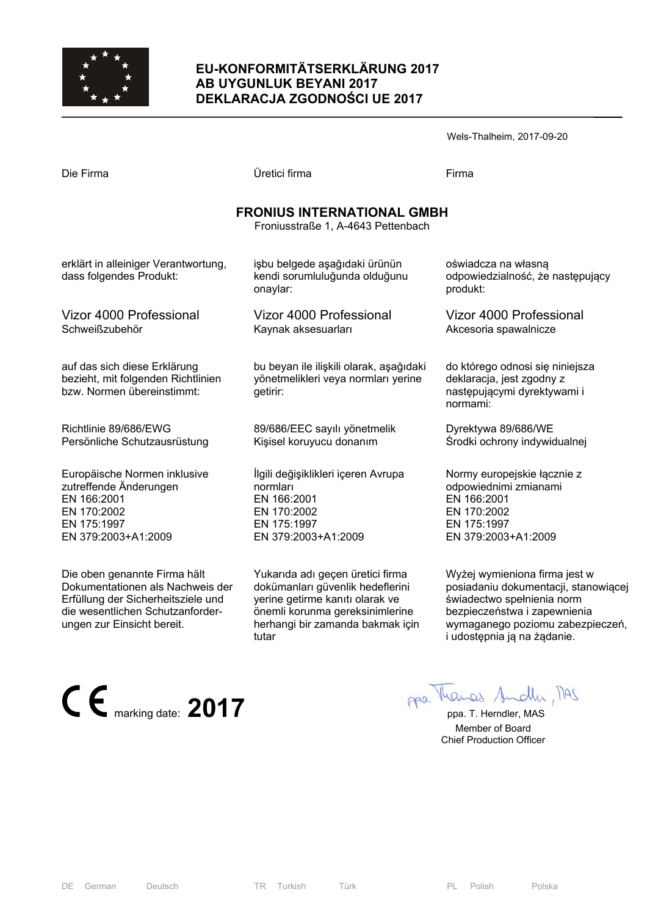

## **EU-KONFORMITÄTSERKLÄRUNG 2017 AB UYGUNLUK BEYANI 2017 DEKLARACJA ZGODNOŚCI UE 2017**

| Die Firma                                                                                                                  | Üretici firma                                                                                                       | Firma                                                                                                                    |
|----------------------------------------------------------------------------------------------------------------------------|---------------------------------------------------------------------------------------------------------------------|--------------------------------------------------------------------------------------------------------------------------|
| <b>FRONIUS INTERNATIONAL GMBH</b><br>Froniusstraße 1, A-4643 Pettenbach                                                    |                                                                                                                     |                                                                                                                          |
| erklärt in alleiniger Verantwortung,<br>dass folgendes Produkt:                                                            | işbu belgede aşağıdaki ürünün<br>kendi sorumluluğunda olduğunu<br>onaylar:                                          | oświadcza na własną<br>odpowiedzialność, że następujący<br>produkt:                                                      |
| Vizor 4000 Professional<br>Schweißzubehör                                                                                  | Vizor 4000 Professional<br>Kaynak aksesuarları                                                                      | Vizor 4000 Professional<br>Akcesoria spawalnicze                                                                         |
| auf das sich diese Erklärung<br>bezieht, mit folgenden Richtlinien<br>bzw. Normen übereinstimmt:                           | bu beyan ile ilişkili olarak, aşağıdaki<br>yönetmelikleri veya normları yerine<br>getirir:                          | do którego odnosi się niniejsza<br>deklaracja, jest zgodny z<br>następującymi dyrektywami i<br>normami:                  |
| Richtlinie 89/686/EWG<br>Persönliche Schutzausrüstung                                                                      | 89/686/EEC sayılı yönetmelik<br>Kişisel koruyucu donanım                                                            | Dyrektywa 89/686/WE<br>Środki ochrony indywidualnej                                                                      |
| Europäische Normen inklusive<br>zutreffende Änderungen<br>EN 166:2001<br>EN 170:2002<br>EN 175:1997<br>EN 379:2003+A1:2009 | İlgili değişiklikleri içeren Avrupa<br>normları<br>EN 166:2001<br>EN 170:2002<br>EN 175:1997<br>EN 379:2003+A1:2009 | Normy europejskie łącznie z<br>odpowiednimi zmianami<br>EN 166:2001<br>EN 170:2002<br>EN 175:1997<br>EN 379:2003+A1:2009 |
|                                                                                                                            |                                                                                                                     |                                                                                                                          |

Die oben genannte Firma hält Dokumentationen als Nachweis der Erfüllung der Sicherheitsziele und die wesentlichen Schutzanforderungen zur Einsicht bereit.

Yukarıda adı geçen üretici firma dokümanları güvenlik hedeflerini yerine getirme kanıtı olarak ve önemli korunma gereksinimlerine herhangi bir zamanda bakmak için tutar

Wyżej wymieniona firma jest w posiadaniu dokumentacji, stanowiącej świadectwo spełnienia norm bezpieczeństwa i zapewnienia wymaganego poziomu zabezpieczeń, i udostępnia ją na żądanie.

Wels-Thalheim, 2017-09-20

**CE** marking date: **2017 pp Manual** Andly MAS

 Member of Board Chief Production Officer